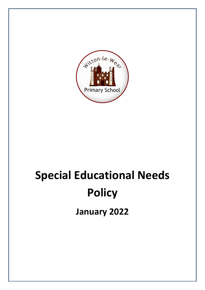

# **Special Educational Needs Policy**

**January 2022**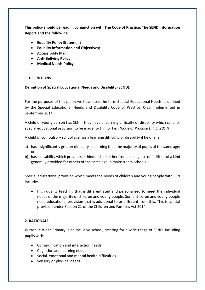**This policy should be read in conjunction with The Code of Practice, The SEND Information Report and the following:**

- **Equality Policy Statement**
- **Equality Information and Objectives;**
- **Accessibility Plan;**
- **Anti-Bullying Policy;**
- **Medical Needs Policy**

#### **1. DEFINITIONS**

#### **Definition of Special Educational Needs and Disability (SEND):**

For the purposes of this policy we have used the term Special Educational Needs as defined by the Special Educational Needs and Disability Code of Practice: 0-25 implemented in September 2014.

A child or young person has SEN if they have a learning difficulty or disability which calls for special educational provision to be made for him or her. *(Code of Practice D.F.E. 2014)* 

A child of compulsory school age has a learning difficulty or disability if he or she:

- a) has a significantly greater difficulty in learning than the majority of pupils of the same age; or
- b) has a disability which prevents or hinders him or her from making use of facilities of a kind generally provided for others of the same age in mainstream schools.

Special educational provision which meets the needs of children and young people with SEN includes:

• High quality teaching that is differentiated and personalized to meet the individual needs of the majority of children and young people. Some children and young people need educational provision that is additional to or different from this. This is special provision under Section 21 of the Children and Families Act 2014.

## **2. RATIONALE**

Witton le Wear Primary is an inclusive school, catering for a wide range of SEND, including pupils with:

- Communication and interaction needs.
- Cognition and learning needs
- Social, emotional and mental health difficulties
- Sensory or physical needs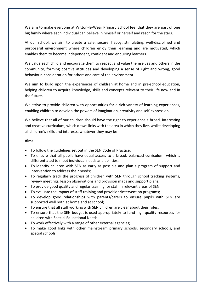We aim to make everyone at Witton-le-Wear Primary School feel that they are part of one big family where each individual can believe in himself or herself and reach for the stars.

At our school, we aim to create a safe, secure, happy, stimulating, well-disciplined and purposeful environment where children enjoy their learning and are motivated, which enables them to become independent, confident and enquiring learners.

We value each child and encourage them to respect and value themselves and others in the community, forming positive attitudes and developing a sense of right and wrong, good behaviour, consideration for others and care of the environment.

We aim to build upon the experiences of children at home and in pre-school education, helping children to acquire knowledge, skills and concepts relevant to their life now and in the future.

We strive to provide children with opportunities for a rich variety of learning experiences, enabling children to develop the powers of imagination, creativity and self-expression.

We believe that all of our children should have the right to experience a broad, interesting and creative curriculum, which draws links with the area in which they live, whilst developing all children's skills and interests, whatever they may be!

#### **Aims**

- To follow the guidelines set out in the SEN Code of Practice;
- To ensure that all pupils have equal access to a broad, balanced curriculum, which is differentiated to meet individual needs and abilities;
- To identify children with SEN as early as possible and plan a program of support and intervention to address their needs;
- To regularly track the progress of children with SEN through school tracking systems, review meetings, lesson observations and provision maps and support plans;
- To provide good quality and regular training for staff in relevant areas of SEN;
- To evaluate the impact of staff training and provision/intervention programs;
- To develop good relationships with parents/carers to ensure pupils with SEN are supported well both at home and at school;
- To ensure that all staff working with SEN children are clear about their roles;
- To ensure that the SEN budget is used appropriately to fund high quality resources for children with Special Educational Needs.
- To work effectively with a range of other external agencies;
- To make good links with other mainstream primary schools, secondary schools, and special schools.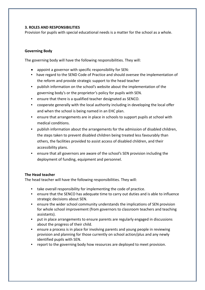#### **3. ROLES AND RESPONSIBILITIES**

Provision for pupils with special educational needs is a matter for the school as a whole.

## **Governing Body**

The governing body will have the following responsibilities. They will:

- appoint a governor with specific responsibility for SEN:
- have regard to the SEND Code of Practice and should oversee the implementation of the reform and provide strategic support to the head teacher
- publish information on the school's website about the implementation of the governing body's or the proprietor's policy for pupils with SEN.
- ensure that there is a qualified teacher designated as SENCO.
- cooperate generally with the local authority including in developing the local offer and when the school is being named in an EHC plan.
- ensure that arrangements are in place in schools to support pupils at school with medical conditions.
- publish information about the arrangements for the admission of disabled children, the steps taken to prevent disabled children being treated less favourably than others, the facilities provided to assist access of disabled children, and their accessibility plans.
- ensure that all governors are aware of the school's SEN provision including the deployment of funding, equipment and personnel.

## **The Head teacher**

The head teacher will have the following responsibilities. They will:

- take overall responsibility for implementing the code of practice.
- ensure that the SENCO has adequate time to carry out duties and is able to influence strategic decisions about SEN.
- ensure the wider school community understands the implications of SEN provision for whole school improvement (from governors to classroom teachers and teaching assistants).
- put in place arrangements to ensure parents are regularly engaged in discussions about the progress of their child.
- ensure a process is in place for involving parents and young people in reviewing provision and planning for those currently on school action/plus and any newly identified pupils with SEN.
- report to the governing body how resources are deployed to meet provision.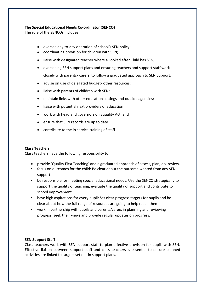## **The Special Educational Needs Co-ordinator (SENCO)**

The role of the SENCOs includes:

- oversee day-to-day operation of school's SEN policy;
- coordinating provision for children with SEN;
- liaise with designated teacher where a Looked after Child has SEN;
- overseeing SEN support plans and ensuring teachers and support staff work closely with parents/ carers to follow a graduated approach to SEN Support;
- advise on use of delegated budget/ other resources;
- liaise with parents of children with SEN;
- maintain links with other education settings and outside agencies;
- liaise with potential next providers of education;
- work with head and governors on Equality Act; and
- ensure that SEN records are up to date.
- contribute to the in service training of staff

## **Class Teachers**

Class teachers have the following responsibility to:

- provide 'Quality First Teaching' and a graduated approach of assess, plan, do, review.
- focus on outcomes for the child: Be clear about the outcome wanted from any SEN support.
- be responsible for meeting special educational needs: Use the SENCO strategically to support the quality of teaching, evaluate the quality of support and contribute to school improvement.
- have high aspirations for every pupil: Set clear progress targets for pupils and be clear about how the full range of resources are going to help reach them.
- work in partnership with pupils and parents/carers in planning and reviewing progress, seek their views and provide regular updates on progress.

## **SEN Support Staff**

Class teachers work with SEN support staff to plan effective provision for pupils with SEN. Effective liaison between support staff and class teachers is essential to ensure planned activities are linked to targets set out in support plans.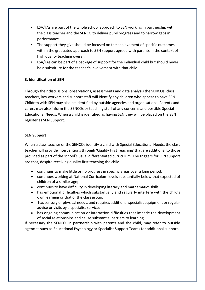- LSA/TAs are part of the whole school approach to SEN working in partnership with the class teacher and the SENCO to deliver pupil progress and to narrow gaps in performance.
- The support they give should be focused on the achievement of specific outcomes within the graduated approach to SEN support agreed with parents in the context of high quality teaching overall.
- LSA/TAs can be part of a package of support for the individual child but should never be a substitute for the teacher's involvement with that child.

## **3. Identification of SEN**

Through their discussions, observations, assessments and data analysis the SENCOs, class teachers, key workers and support staff will identify any children who appear to have SEN. Children with SEN may also be identified by outside agencies and organisations. Parents and carers may also inform the SENCOs or teaching staff of any concerns and possible Special Educational Needs. When a child is identified as having SEN they will be placed on the SEN register as SEN Support.

#### **SEN Support**

When a class teacher or the SENCOs identify a child with Special Educational Needs, the class teacher will provide interventions through 'Quality First Teaching' that are additional to those provided as part of the school's usual differentiated curriculum. The triggers for SEN support are that, despite receiving quality first teaching the child:

- continues to make little or no progress in specific areas over a long period;
- continues working at National Curriculum levels substantially below that expected of children of a similar age;
- continues to have difficulty in developing literacy and mathematics skills;
- has emotional difficulties which substantially and regularly interfere with the child's own learning or that of the class group.
- has sensory or physical needs, and requires additional specialist equipment or regular advice or visits by a specialist service;
- has ongoing communication or interaction difficulties that impede the development of social relationships and cause substantial barriers to learning.

If necessary the SENCO, in partnership with parents and the child, may refer to outside agencies such as Educational Psychology or Specialist Support Teams for additional support.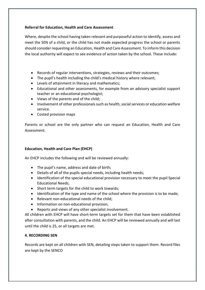## **Referral for Education, Health and Care Assessment**

Where, despite the school having taken relevant and purposeful action to identify, assess and meet the SEN of a child, or the child has not made expected progress the school or parents should consider requesting an Education, Health and Care Assessment. To inform this decision the local authority will expect to see evidence of action taken by the school. These include:

- Records of regular interventions, strategies, reviews and their outcomes;
- The pupil's health including the child's medical history where relevant;
- Levels of attainment in literacy and mathematics;
- Educational and other assessments, for example from an advisory specialist support teacher or an educational psychologist;
- Views of the parents and of the child;
- Involvement of other professionals such as health, social services or education welfare service.
- Costed provision maps

Parents or school are the only partner who can request an Education, Health and Care Assessment.

# **Education, Health and Care Plan (EHCP)**

An EHCP includes the following and will be reviewed annually:

- The pupil's name, address and date of birth;
- Details of all of the pupils special needs, including health needs;
- Identification of the special educational provision necessary to meet the pupil Special Educational Needs;
- Short term targets for the child to work towards;
- Identification of the type and name of the school where the provision is to be made;
- Relevant non-educational needs of the child;
- Information on non-educational provision;
- Reports and views of any other specialist involvement.

All children with EHCP will have short-term targets set for them that have been established after consultation with parents, and the child. An EHCP will be reviewed annually and will last until the child is 25, or all targets are met.

# **4. RECORDING SEN**

Records are kept on all children with SEN, detailing steps taken to support them. Record files are kept by the SENCO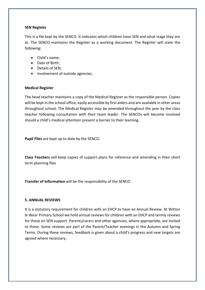#### **SEN Register**

This is a file kept by the SENCO. It indicates which children have SEN and what stage they are at. The SENCO maintains the Register as a working document. The Register will state the following:

- Child's name;
- Date of Birth;
- Details of SEN;
- Involvement of outside agencies;

## **Medical Register**

The head teacher maintains a copy of the Medical Register as the responsible person. Copies will be kept in the school office, easily accessible by first aiders and are available in other areas throughout school. The Medical Register may be amended throughout the year by the class teacher following consultation with their team leader. The SENCOs will become involved should a child's medical attention present a barrier to their learning.

**Pupil Files** are kept up to date by the SENCO.

**Class Teachers** will keep copies of support plans for reference and amending in their short term planning files

**Transfer of Information** will be the responsibility of the SENCO

#### **5. ANNUAL REVIEWS**

It is a statutory requirement for children with an EHCP to have an Annual Review. At Witton le Wear Primary School we hold annual reviews for children with an EHCP and termly reviews for those on SEN support. Parents/carers and other agencies, where appropriate, are invited to these. Some reviews are part of the Parent/Teacher evenings in the Autumn and Spring Terms. During these reviews, feedback is given about a child's progress and new targets are agreed where necessary.